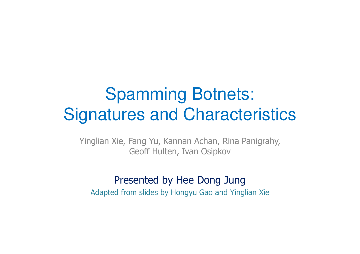#### Spamming Botnets: Signatures and Characteristics

Yinglian Xie, Fang Yu, Kannan Achan, Rina Panigrahy, Geoff Hulten, Ivan Osipkov

#### Presented by Hee Dong Jung

Adapted from slides by Hongyu Gao and Yinglian Xie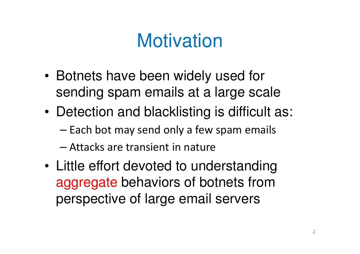# **Motivation**

- • Botnets have been widely used for sending spam emails at a large scale
- • Detection and blacklisting is difficult as:
	- – $-$  Each bot may send only a few spam emails
	- –Attacks are transient in nature
- • Little effort devoted to understanding aggregate behaviors of botnets from perspective of large email servers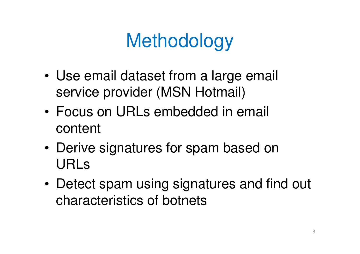# **Methodology**

- • Use email dataset from a large email service provider (MSN Hotmail)
- • Focus on URLs embedded in email content
- • Derive signatures for spam based on URLs
- • Detect spam using signatures and find out characteristics of botnets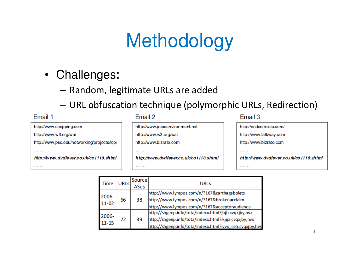# Methodology

- Challenges:
	- – $-$  Random, legitimate URLs are added
	- –URL obfuscation technique (polymorphic URLs, Redirection)

| Email 1                                     | Email 2                                | Email 3                                |
|---------------------------------------------|----------------------------------------|----------------------------------------|
| http://www.shopping.com                     | http://www.peacenvironment.net         | http://endosmosis.com/                 |
| http://www.w3.org/wai                       | http://www.w3.org/wai                  | http://www.talkway.com                 |
| http://www.psc.edu/networking/projects/tcp/ | http://www.bizrate.com                 | http://www.bizrate.com                 |
|                                             |                                        |                                        |
| http://www.dvdfever.co.uk/co1118.shtml      | http://www.dvdfever.co.uk/co1118.shtml | http://www.dvdfever.co.uk/co1118.shtml |
|                                             |                                        |                                        |

| Time               | <b>URLs</b> | Source<br>ASes | <b>URLs</b>                                                                                                                                                                |
|--------------------|-------------|----------------|----------------------------------------------------------------------------------------------------------------------------------------------------------------------------|
| 2006-<br>$11 - 02$ | 66          | 38             | http://www.lympos.com/n/?167&carthagebolets<br>http://www.lympos.com/n/?167&brokenacclaim<br>http://www.lympos.com/n/?167&acceptoraudience                                 |
| 2006-<br>$11 - 15$ | 72          | 39             | http://shgeep.info/tota/indexx.html?jhjb.cvqxjby,hvx<br>http://shgeep.info/tota/indexx.html?ikjija.cvqxjby,hvx<br>http://shgeep.info/tota/indexx.html?ivvx_ceh.cvqxjby,hvx |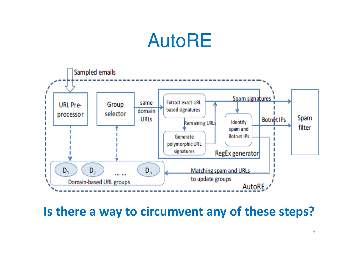# AutoRE



Is there a way to circumvent any of these steps?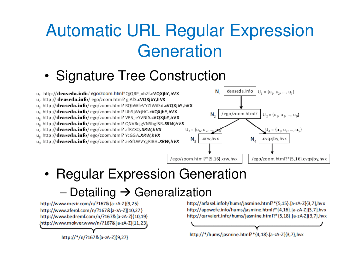# Automatic URL Regular Expression **Generation**

#### •Signature Tree Construction



#### •Regular Expression Generation

#### –Detailing  $\rightarrow$  Generalization<br>mezir.com/n/?167&[a-zA-z]{9,25}

http://www.bedremf.com/n/?167&[a-zA-Z]{10,19} http://www.mokver.www/n/?167&[a-zA-Z]{11,23}

http://\*/n/?167&[a-zA-Z]{9,27}

http://carvalert.info/hums/jasmine.html?\*{5,18}.[a-zA-Z]{3,7}, hvx

http://\*/hums/jasmine.html?\*{4,18}.[a-zA-Z]{3,7},hvx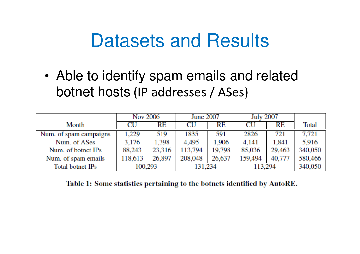### Datasets and Results

• Able to identify spam emails and related botnet hosts (IP addresses / ASes)

|                        | <b>Nov 2006</b> |        | <b>June 2007</b> |        | <b>July 2007</b> |        |              |
|------------------------|-----------------|--------|------------------|--------|------------------|--------|--------------|
| Month                  | CU              | RE     | CU               | RE     | CU               | RE     | <b>Total</b> |
| Num. of spam campaigns | 1,229           | 519    | 1835             | 591    | 2826             | 721    | 7.721        |
| Num. of ASes           | 3.176           | 1,398  | 4.495            | 1,906  | 4,141            | 1,841  | 5.916        |
| Num. of botnet IPs     | 88,243          | 23,316 | 113,794          | 19,798 | 85,036           | 29,463 | 340,050      |
| Num. of spam emails    | 118,613         | 26,897 | 208,048          | 26,637 | 159,494          | 40,777 | 580,466      |
| Total botnet IPs       | 100,293         |        | 131,234          |        | 113,294          |        | 340,050      |

Table 1: Some statistics pertaining to the botnets identified by AutoRE.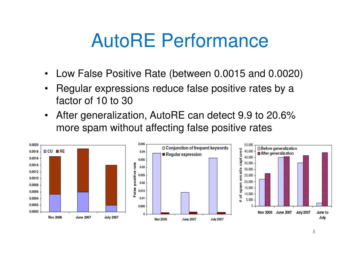# AutoRE Performance

- $\bullet$ Low False Positive Rate (between 0.0015 and 0.0020)
- • Regular expressions reduce false positive rates by a factor of 10 to 30
- $\bullet$  After generalization, AutoRE can detect 9.9 to 20.6% more spam without affecting false positive rates

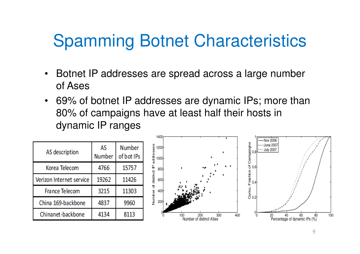### Spamming Botnet Characteristics

- $\bullet$  Botnet IP addresses are spread across a large number of Ases
- 69% of botnet IP addresses are dynamic IPs; more than 80% of campaigns have at least half their hosts in dynamic IP ranges

| AS description           | AS<br><b>Number</b> | <b>Number</b><br>of bot IPs |  |
|--------------------------|---------------------|-----------------------------|--|
| Korea Telecom            | 4766                | 15757                       |  |
| Verizon Internet service | 19262               | 11426                       |  |
| <b>France Telecom</b>    | 3215                | 11303                       |  |
| China 169-backbone       | 4837                | 9960                        |  |
| Chinanet-backbone        | 4134                | 8113                        |  |

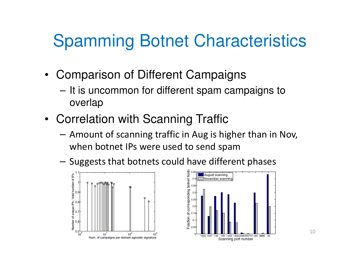### Spamming Botnet Characteristics

- Comparison of Different Campaigns
	- –It is uncommon for different spam campaigns to overlap
- Correlation with Scanning Traffic
	- – Amount of scanning traffic in Aug is higher than in Nov, when botnet IPs were used to send spam
	- $-$  Suggeste that hotnote could have differe - Suggests that botnets could have different phases



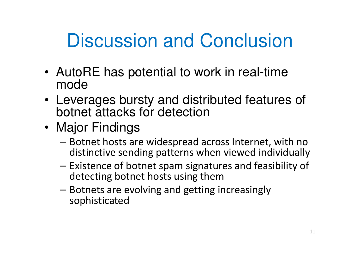# Discussion and Conclusion

- AutoRE has potential to work in real-time mode
- Leverages bursty and distributed features of botnet attacks for detection
- Major Findings
	- Botnet hosts are widespread across Internet, with no<br>distinctive canding nottoma when viewed individually distinctive sending patterns when viewed individually
	- Existence of botnet spam signatures and feasibility of detecting botnet hosts using them
	- $\equiv$  Rothate 3ra Avolving 3nd gatting - Botnets are evolving and getting increasingly<br>exampliations d sophisticated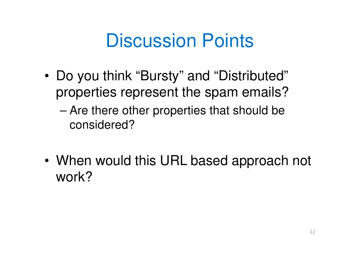# Discussion Points

- • Do you think "Bursty" and "Distributed" properties represent the spam emails?
	- – Are there other properties that should be considered?
- • When would this URL based approach not work?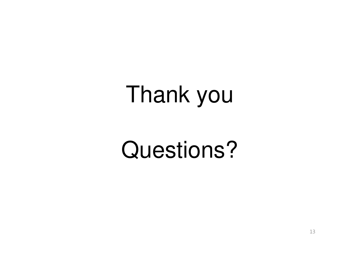# Thank you

# Questions?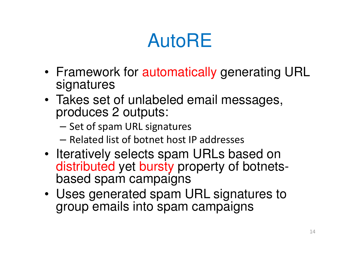# AutoRE

- Framework for automatically generating URL signatures
- Takes set of unlabeled email messages, produces 2 outputs:
	- Set of spam URL signatures
	- Related list of botnet host IP addresses
- Iteratively selects spam URLs based on distributed yet bursty property of botnetsbased spam campaigns
- Uses generated spam URL signatures to group emails into spam campaigns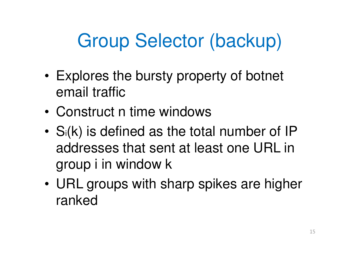# Group Selector (backup)

- • Explores the bursty property of botnet email traffic
- •Construct n time windows
- •Si(k) is defined as the total number of IP addresses that sent at least one URL in group i in window k
- • URL groups with sharp spikes are higher ranked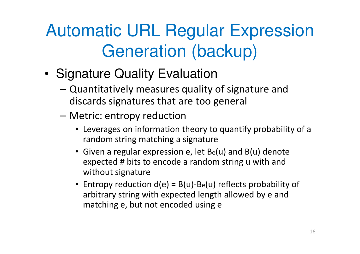# Automatic URL Regular Expression Generation (backup)

- • Signature Quality Evaluation
	- Quantitatively measures quality of signature and discards signatures that are too general
	- Metric: entropy reduction
		- Leverages on information theory to quantify probability of a random string matching a signature
		- Given a regular expression e, let Be(u) and B(u) denote expected # bits to encode a random string u with and without signature
		- Entropy reduction d(e) = B(u)-Be(u) reflects probability of arbitrary string with expected length allowed by e and matching e, but not encoded using e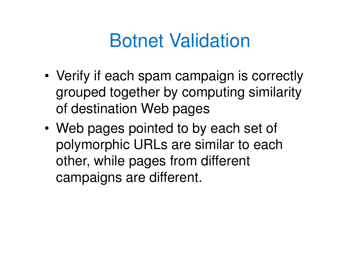# Botnet Validation

- • Verify if each spam campaign is correctly grouped together by computing similarity of destination Web pages
- • Web pages pointed to by each set of polymorphic URLs are similar to each other, while pages from different campaigns are different.